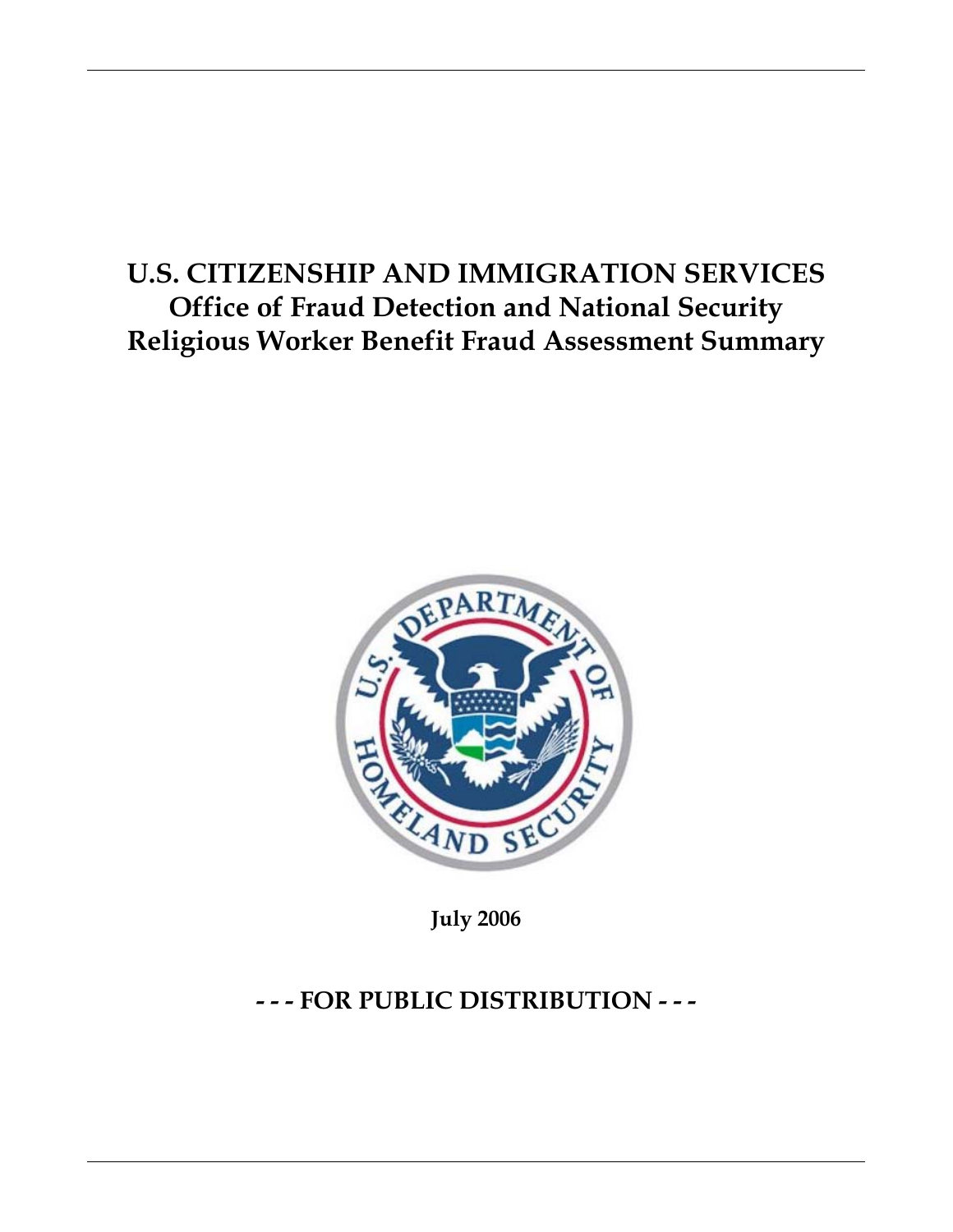# **U.S. CITIZENSHIP AND IMMIGRATION SERVICES Office of Fraud Detection and National Security Religious Worker Benefit Fraud Assessment Summary**



**July 2006** 

## **- - - FOR PUBLIC DISTRIBUTION - - -**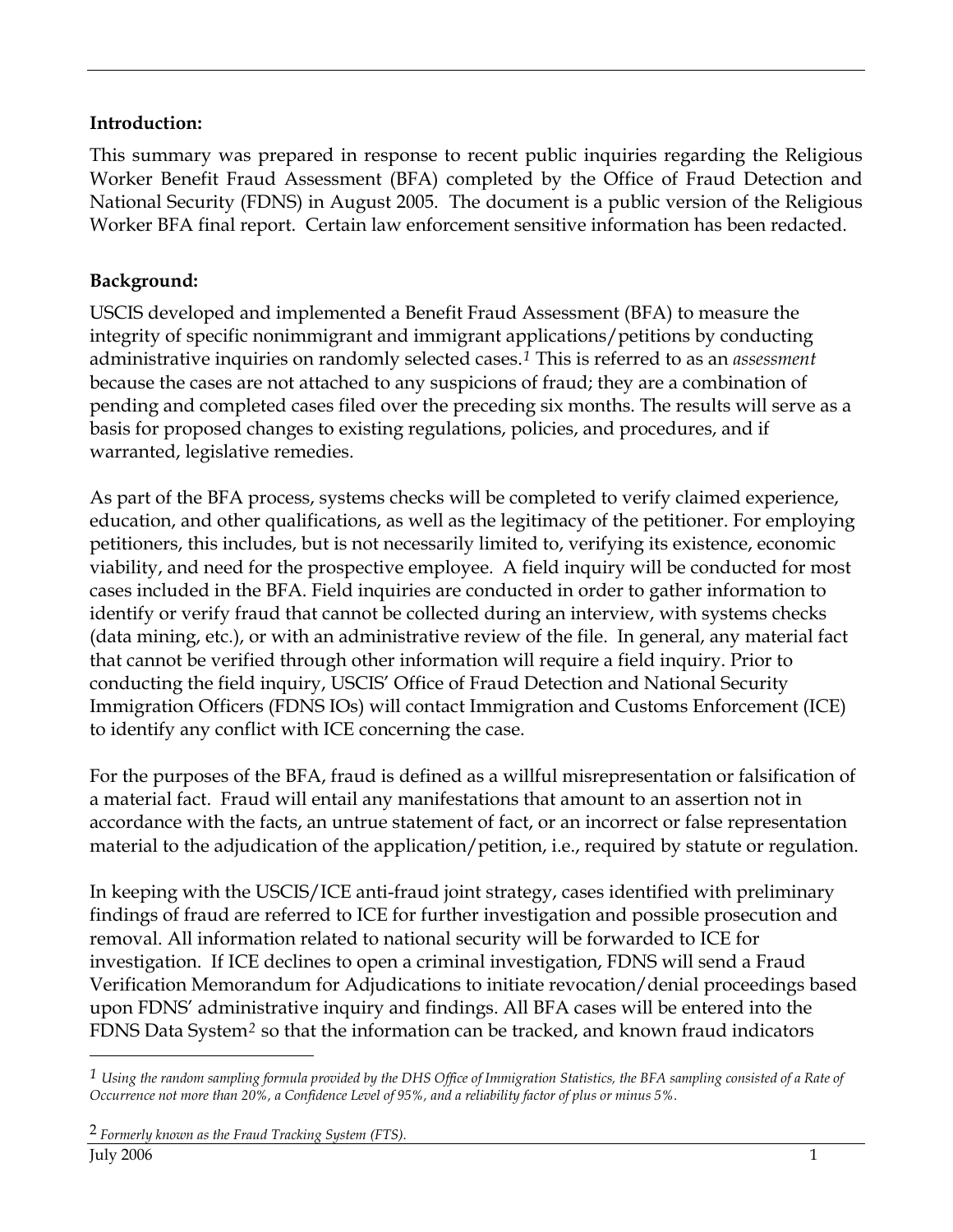## **Introduction:**

This summary was prepared in response to recent public inquiries regarding the Religious Worker Benefit Fraud Assessment (BFA) completed by the Office of Fraud Detection and National Security (FDNS) in August 2005. The document is a public version of the Religious Worker BFA final report. Certain law enforcement sensitive information has been redacted.

## **Background:**

USCIS developed and implemented a Benefit Fraud Assessment (BFA) to measure the integrity of specific nonimmigrant and immigrant applications/petitions by conducting administrative inquiries on randomly selected cases.*[1](#page-1-0)* This is referred to as an *assessment* because the cases are not attached to any suspicions of fraud; they are a combination of pending and completed cases filed over the preceding six months. The results will serve as a basis for proposed changes to existing regulations, policies, and procedures, and if warranted, legislative remedies.

As part of the BFA process, systems checks will be completed to verify claimed experience, education, and other qualifications, as well as the legitimacy of the petitioner. For employing petitioners, this includes, but is not necessarily limited to, verifying its existence, economic viability, and need for the prospective employee. A field inquiry will be conducted for most cases included in the BFA. Field inquiries are conducted in order to gather information to identify or verify fraud that cannot be collected during an interview, with systems checks (data mining, etc.), or with an administrative review of the file. In general, any material fact that cannot be verified through other information will require a field inquiry. Prior to conducting the field inquiry, USCIS' Office of Fraud Detection and National Security Immigration Officers (FDNS IOs) will contact Immigration and Customs Enforcement (ICE) to identify any conflict with ICE concerning the case.

For the purposes of the BFA, fraud is defined as a willful misrepresentation or falsification of a material fact. Fraud will entail any manifestations that amount to an assertion not in accordance with the facts, an untrue statement of fact, or an incorrect or false representation material to the adjudication of the application/petition, i.e., required by statute or regulation.

In keeping with the USCIS/ICE anti-fraud joint strategy, cases identified with preliminary findings of fraud are referred to ICE for further investigation and possible prosecution and removal. All information related to national security will be forwarded to ICE for investigation. If ICE declines to open a criminal investigation, FDNS will send a Fraud Verification Memorandum for Adjudications to initiate revocation/denial proceedings based upon FDNS' administrative inquiry and findings. All BFA cases will be entered into the FDNS Data System*[2](#page-1-1)* so that the information can be tracked, and known fraud indicators

 $\overline{a}$ 

<span id="page-1-1"></span><span id="page-1-0"></span>*<sup>1</sup> Using the random sampling formula provided by the DHS Office of Immigration Statistics, the BFA sampling consisted of a Rate of Occurrence not more than 20%, a Confidence Level of 95%, and a reliability factor of plus or minus 5%.*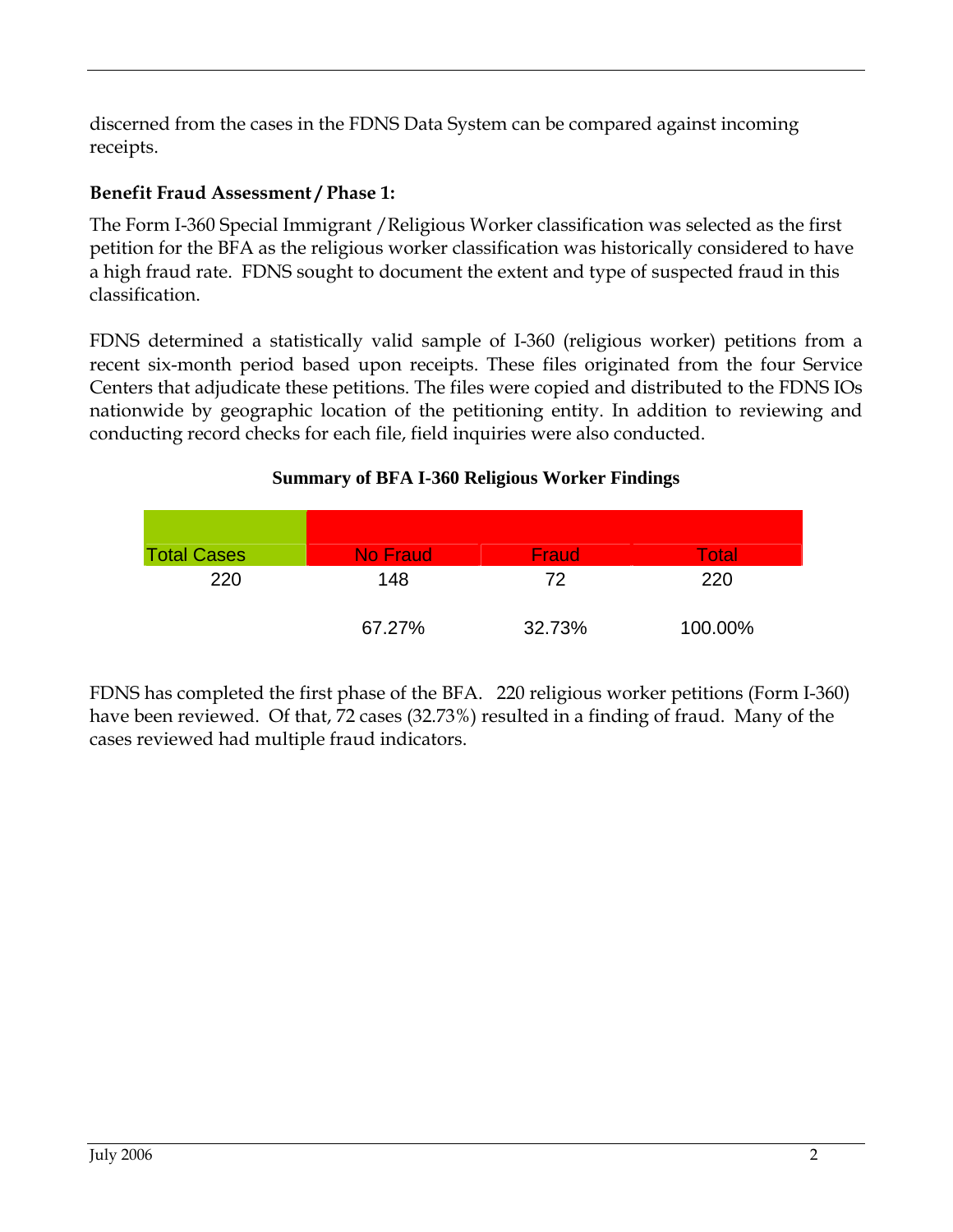discerned from the cases in the FDNS Data System can be compared against incoming receipts.

## **Benefit Fraud Assessment / Phase 1:**

The Form I-360 Special Immigrant /Religious Worker classification was selected as the first petition for the BFA as the religious worker classification was historically considered to have a high fraud rate. FDNS sought to document the extent and type of suspected fraud in this classification.

FDNS determined a statistically valid sample of I-360 (religious worker) petitions from a recent six-month period based upon receipts. These files originated from the four Service Centers that adjudicate these petitions. The files were copied and distributed to the FDNS IOs nationwide by geographic location of the petitioning entity. In addition to reviewing and conducting record checks for each file, field inquiries were also conducted.

## **Summary of BFA I-360 Religious Worker Findings**

| <b>Total Cases</b> | <b>No Fraud</b> | Fraud  | Total   |
|--------------------|-----------------|--------|---------|
| 220                | 148             | 72     | 220     |
|                    | 67.27%          | 32.73% | 100.00% |

FDNS has completed the first phase of the BFA. 220 religious worker petitions (Form I-360) have been reviewed. Of that, 72 cases (32.73%) resulted in a finding of fraud. Many of the cases reviewed had multiple fraud indicators.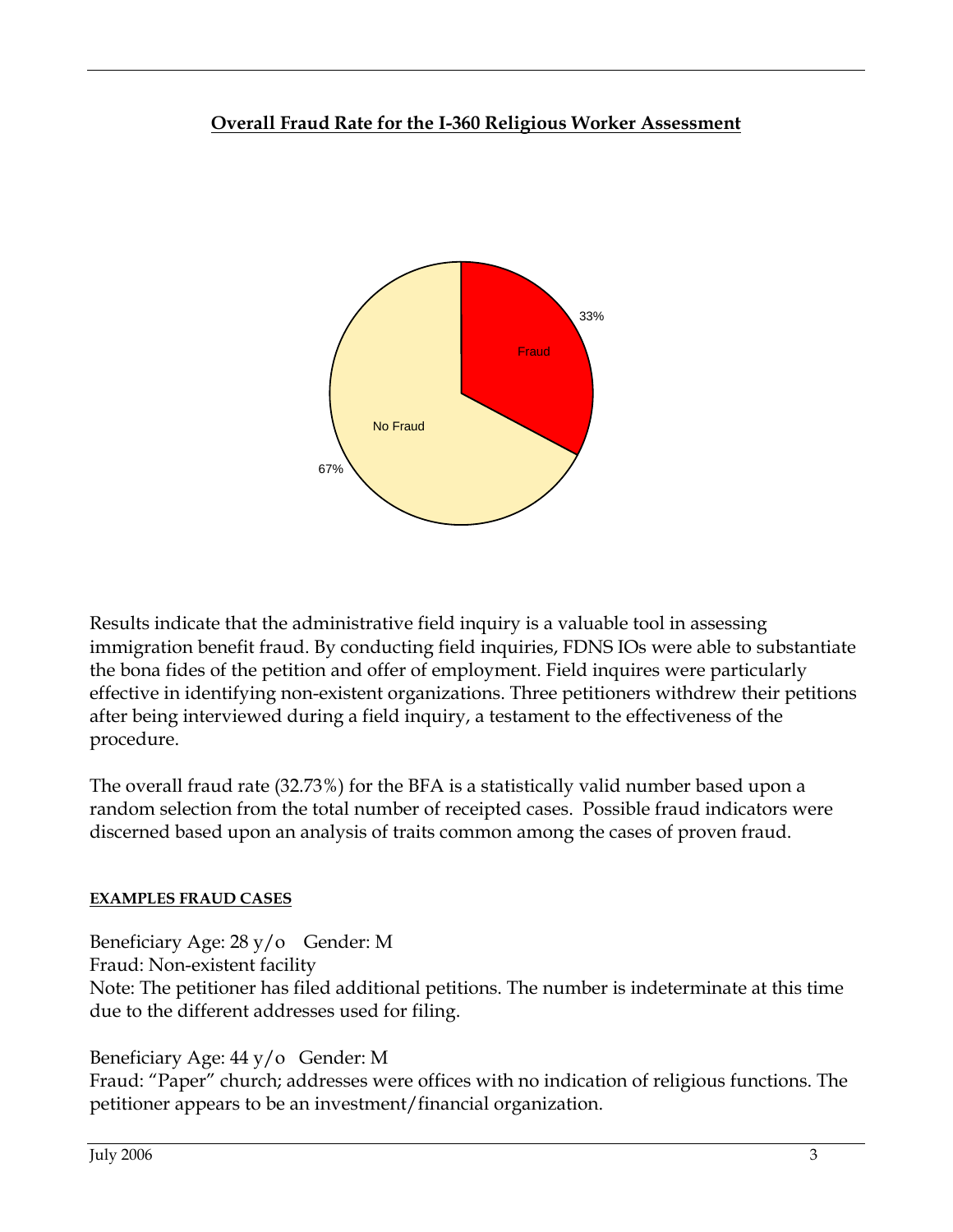## **Overall Fraud Rate for the I-360 Religious Worker Assessment**



Results indicate that the administrative field inquiry is a valuable tool in assessing immigration benefit fraud. By conducting field inquiries, FDNS IOs were able to substantiate the bona fides of the petition and offer of employment. Field inquires were particularly effective in identifying non-existent organizations. Three petitioners withdrew their petitions after being interviewed during a field inquiry, a testament to the effectiveness of the procedure.

The overall fraud rate (32.73%) for the BFA is a statistically valid number based upon a random selection from the total number of receipted cases. Possible fraud indicators were discerned based upon an analysis of traits common among the cases of proven fraud.

#### **EXAMPLES FRAUD CASES**

Beneficiary Age: 28 y/o Gender: M

Fraud: Non-existent facility

Note: The petitioner has filed additional petitions. The number is indeterminate at this time due to the different addresses used for filing.

## Beneficiary Age: 44 y/o Gender: M

Fraud: "Paper" church; addresses were offices with no indication of religious functions. The petitioner appears to be an investment/financial organization.